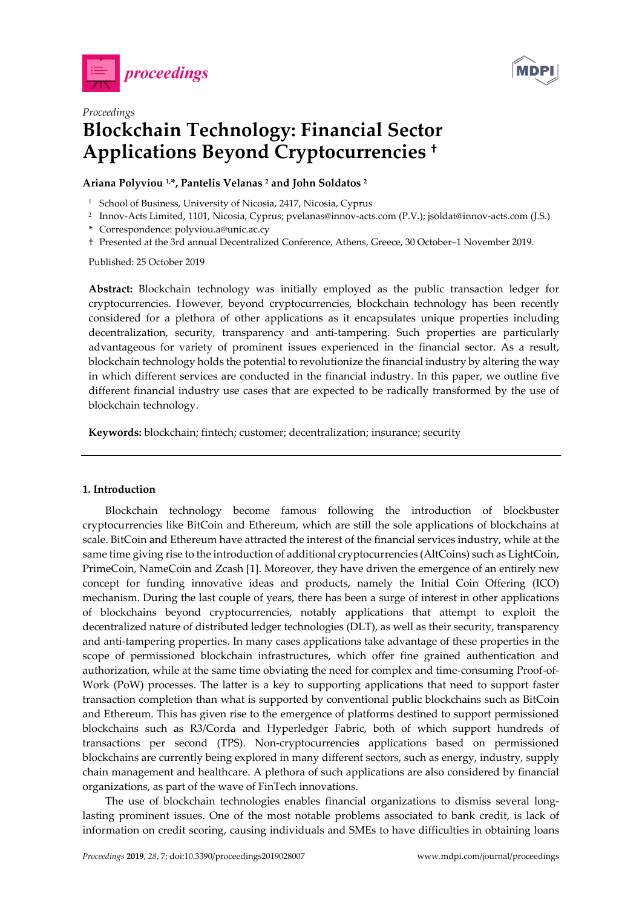



# *Proceedings*  **Blockchain Technology: Financial Sector Applications Beyond Cryptocurrencies †**

# **Ariana Polyviou 1,\*, Pantelis Velanas 2 and John Soldatos 2**

- <sup>1</sup> School of Business, University of Nicosia, 2417, Nicosia, Cyprus
- 2 Innov-Acts Limited, 1101, Nicosia, Cyprus; pvelanas@innov-acts.com (P.V.); jsoldat@innov-acts.com (J.S.)
- **\*** Correspondence: polyviou.a@unic.ac.cy
- † Presented at the 3rd annual Decentralized Conference, Athens, Greece, 30 October–1 November 2019.

Published: 25 October 2019

**Abstract:** Blockchain technology was initially employed as the public transaction ledger for cryptocurrencies. However, beyond cryptocurrencies, blockchain technology has been recently considered for a plethora of other applications as it encapsulates unique properties including decentralization, security, transparency and anti-tampering. Such properties are particularly advantageous for variety of prominent issues experienced in the financial sector. As a result, blockchain technology holds the potential to revolutionize the financial industry by altering the way in which different services are conducted in the financial industry. In this paper, we outline five different financial industry use cases that are expected to be radically transformed by the use of blockchain technology.

**Keywords:** blockchain; fintech; customer; decentralization; insurance; security

# **1. Introduction**

Blockchain technology become famous following the introduction of blockbuster cryptocurrencies like BitCoin and Ethereum, which are still the sole applications of blockchains at scale. BitCoin and Ethereum have attracted the interest of the financial services industry, while at the same time giving rise to the introduction of additional cryptocurrencies (AltCoins) such as LightCoin, PrimeCoin, NameCoin and Zcash [1]. Moreover, they have driven the emergence of an entirely new concept for funding innovative ideas and products, namely the Initial Coin Offering (ICO) mechanism. During the last couple of years, there has been a surge of interest in other applications of blockchains beyond cryptocurrencies, notably applications that attempt to exploit the decentralized nature of distributed ledger technologies (DLT), as well as their security, transparency and anti-tampering properties. In many cases applications take advantage of these properties in the scope of permissioned blockchain infrastructures, which offer fine grained authentication and authorization, while at the same time obviating the need for complex and time-consuming Proof-of-Work (PoW) processes. The latter is a key to supporting applications that need to support faster transaction completion than what is supported by conventional public blockchains such as BitCoin and Ethereum. This has given rise to the emergence of platforms destined to support permissioned blockchains such as R3/Corda and Hyperledger Fabric, both of which support hundreds of transactions per second (TPS). Non-cryptocurrencies applications based on permissioned blockchains are currently being explored in many different sectors, such as energy, industry, supply chain management and healthcare. A plethora of such applications are also considered by financial organizations, as part of the wave of FinTech innovations.

The use of blockchain technologies enables financial organizations to dismiss several longlasting prominent issues. One of the most notable problems associated to bank credit, is lack of information on credit scoring, causing individuals and SMEs to have difficulties in obtaining loans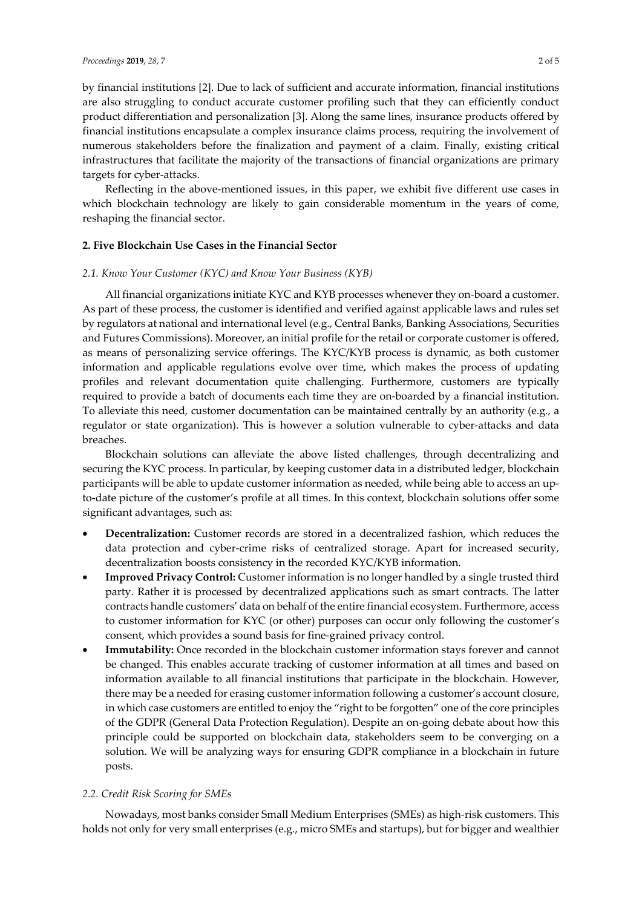by financial institutions [2]. Due to lack of sufficient and accurate information, financial institutions are also struggling to conduct accurate customer profiling such that they can efficiently conduct product differentiation and personalization [3]. Along the same lines, insurance products offered by financial institutions encapsulate a complex insurance claims process, requiring the involvement of numerous stakeholders before the finalization and payment of a claim. Finally, existing critical infrastructures that facilitate the majority of the transactions of financial organizations are primary targets for cyber-attacks.

Reflecting in the above-mentioned issues, in this paper, we exhibit five different use cases in which blockchain technology are likely to gain considerable momentum in the years of come, reshaping the financial sector.

# **2. Five Blockchain Use Cases in the Financial Sector**

## *2.1. Know Your Customer (KYC) and Know Your Business (KYB)*

All financial organizations initiate KYC and KYB processes whenever they on-board a customer. As part of these process, the customer is identified and verified against applicable laws and rules set by regulators at national and international level (e.g., Central Banks, Banking Associations, Securities and Futures Commissions). Moreover, an initial profile for the retail or corporate customer is offered, as means of personalizing service offerings. The KYC/KYB process is dynamic, as both customer information and applicable regulations evolve over time, which makes the process of updating profiles and relevant documentation quite challenging. Furthermore, customers are typically required to provide a batch of documents each time they are on-boarded by a financial institution. To alleviate this need, customer documentation can be maintained centrally by an authority (e.g., a regulator or state organization). This is however a solution vulnerable to cyber-attacks and data breaches.

Blockchain solutions can alleviate the above listed challenges, through decentralizing and securing the KYC process. In particular, by keeping customer data in a distributed ledger, blockchain participants will be able to update customer information as needed, while being able to access an upto-date picture of the customer's profile at all times. In this context, blockchain solutions offer some significant advantages, such as:

- **Decentralization:** Customer records are stored in a decentralized fashion, which reduces the data protection and cyber-crime risks of centralized storage. Apart for increased security, decentralization boosts consistency in the recorded KYC/KYB information.
- **Improved Privacy Control:** Customer information is no longer handled by a single trusted third party. Rather it is processed by decentralized applications such as smart contracts. The latter contracts handle customers' data on behalf of the entire financial ecosystem. Furthermore, access to customer information for KYC (or other) purposes can occur only following the customer's consent, which provides a sound basis for fine-grained privacy control.
- **Immutability:** Once recorded in the blockchain customer information stays forever and cannot be changed. This enables accurate tracking of customer information at all times and based on information available to all financial institutions that participate in the blockchain. However, there may be a needed for erasing customer information following a customer's account closure, in which case customers are entitled to enjoy the "right to be forgotten" one of the core principles of the GDPR (General Data Protection Regulation). Despite an on-going debate about how this principle could be supported on blockchain data, stakeholders seem to be converging on a solution. We will be analyzing ways for ensuring GDPR compliance in a blockchain in future posts.

## *2.2. Credit Risk Scoring for SMEs*

Nowadays, most banks consider Small Medium Enterprises (SMEs) as high-risk customers. This holds not only for very small enterprises (e.g., micro SMEs and startups), but for bigger and wealthier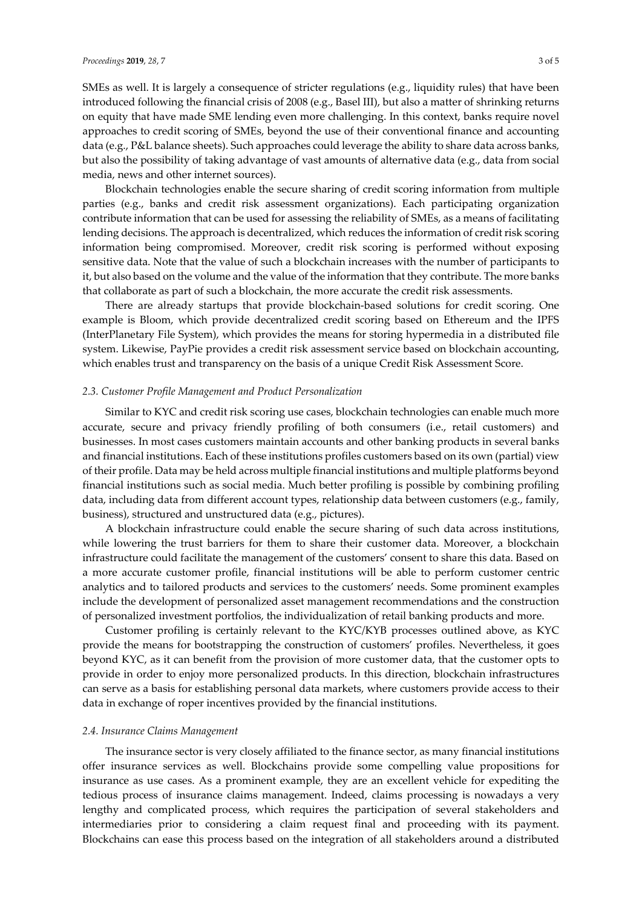#### *Proceedings* **2019**, *28*, 7 3 of 5

SMEs as well. It is largely a consequence of stricter regulations (e.g., liquidity rules) that have been introduced following the financial crisis of 2008 (e.g., Basel III), but also a matter of shrinking returns on equity that have made SME lending even more challenging. In this context, banks require novel approaches to credit scoring of SMEs, beyond the use of their conventional finance and accounting data (e.g., P&L balance sheets). Such approaches could leverage the ability to share data across banks, but also the possibility of taking advantage of vast amounts of alternative data (e.g., data from social media, news and other internet sources).

Blockchain technologies enable the secure sharing of credit scoring information from multiple parties (e.g., banks and credit risk assessment organizations). Each participating organization contribute information that can be used for assessing the reliability of SMEs, as a means of facilitating lending decisions. The approach is decentralized, which reduces the information of credit risk scoring information being compromised. Moreover, credit risk scoring is performed without exposing sensitive data. Note that the value of such a blockchain increases with the number of participants to it, but also based on the volume and the value of the information that they contribute. The more banks that collaborate as part of such a blockchain, the more accurate the credit risk assessments.

There are already startups that provide blockchain-based solutions for credit scoring. One example is Bloom, which provide decentralized credit scoring based on Ethereum and the IPFS (InterPlanetary File System), which provides the means for storing hypermedia in a distributed file system. Likewise, PayPie provides a credit risk assessment service based on blockchain accounting, which enables trust and transparency on the basis of a unique Credit Risk Assessment Score.

## *2.3. Customer Profile Management and Product Personalization*

Similar to KYC and credit risk scoring use cases, blockchain technologies can enable much more accurate, secure and privacy friendly profiling of both consumers (i.e., retail customers) and businesses. In most cases customers maintain accounts and other banking products in several banks and financial institutions. Each of these institutions profiles customers based on its own (partial) view of their profile. Data may be held across multiple financial institutions and multiple platforms beyond financial institutions such as social media. Much better profiling is possible by combining profiling data, including data from different account types, relationship data between customers (e.g., family, business), structured and unstructured data (e.g., pictures).

A blockchain infrastructure could enable the secure sharing of such data across institutions, while lowering the trust barriers for them to share their customer data. Moreover, a blockchain infrastructure could facilitate the management of the customers' consent to share this data. Based on a more accurate customer profile, financial institutions will be able to perform customer centric analytics and to tailored products and services to the customers' needs. Some prominent examples include the development of personalized asset management recommendations and the construction of personalized investment portfolios, the individualization of retail banking products and more.

Customer profiling is certainly relevant to the KYC/KYB processes outlined above, as KYC provide the means for bootstrapping the construction of customers' profiles. Nevertheless, it goes beyond KYC, as it can benefit from the provision of more customer data, that the customer opts to provide in order to enjoy more personalized products. In this direction, blockchain infrastructures can serve as a basis for establishing personal data markets, where customers provide access to their data in exchange of roper incentives provided by the financial institutions.

#### *2.4. Insurance Claims Management*

The insurance sector is very closely affiliated to the finance sector, as many financial institutions offer insurance services as well. Blockchains provide some compelling value propositions for insurance as use cases. As a prominent example, they are an excellent vehicle for expediting the tedious process of insurance claims management. Indeed, claims processing is nowadays a very lengthy and complicated process, which requires the participation of several stakeholders and intermediaries prior to considering a claim request final and proceeding with its payment. Blockchains can ease this process based on the integration of all stakeholders around a distributed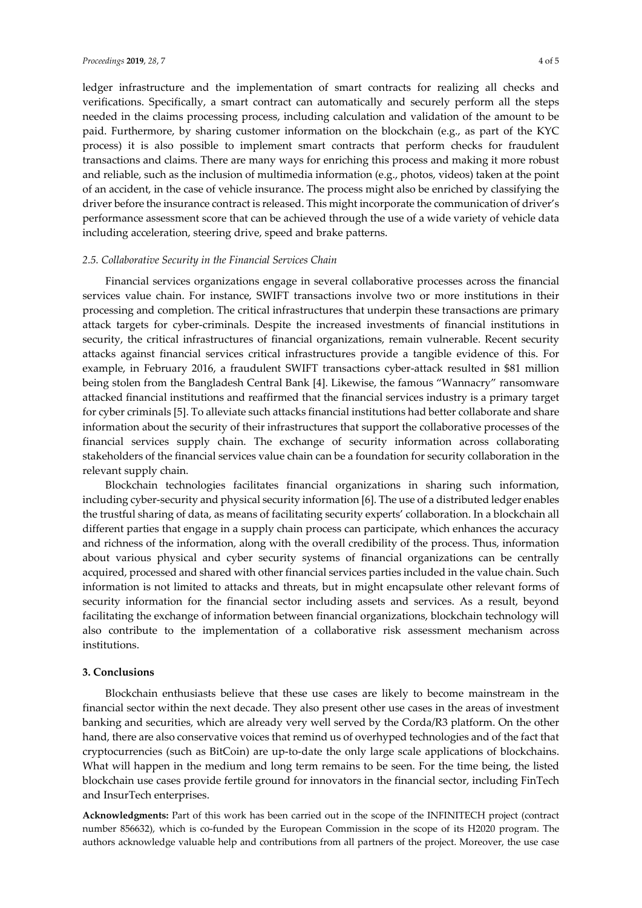ledger infrastructure and the implementation of smart contracts for realizing all checks and verifications. Specifically, a smart contract can automatically and securely perform all the steps needed in the claims processing process, including calculation and validation of the amount to be paid. Furthermore, by sharing customer information on the blockchain (e.g., as part of the KYC process) it is also possible to implement smart contracts that perform checks for fraudulent transactions and claims. There are many ways for enriching this process and making it more robust and reliable, such as the inclusion of multimedia information (e.g., photos, videos) taken at the point of an accident, in the case of vehicle insurance. The process might also be enriched by classifying the driver before the insurance contract is released. This might incorporate the communication of driver's performance assessment score that can be achieved through the use of a wide variety of vehicle data including acceleration, steering drive, speed and brake patterns.

### *2.5. Collaborative Security in the Financial Services Chain*

Financial services organizations engage in several collaborative processes across the financial services value chain. For instance, SWIFT transactions involve two or more institutions in their processing and completion. The critical infrastructures that underpin these transactions are primary attack targets for cyber-criminals. Despite the increased investments of financial institutions in security, the critical infrastructures of financial organizations, remain vulnerable. Recent security attacks against financial services critical infrastructures provide a tangible evidence of this. For example, in February 2016, a fraudulent SWIFT transactions cyber-attack resulted in \$81 million being stolen from the Bangladesh Central Bank [4]. Likewise, the famous "Wannacry" ransomware attacked financial institutions and reaffirmed that the financial services industry is a primary target for cyber criminals [5]. To alleviate such attacks financial institutions had better collaborate and share information about the security of their infrastructures that support the collaborative processes of the financial services supply chain. The exchange of security information across collaborating stakeholders of the financial services value chain can be a foundation for security collaboration in the relevant supply chain.

Blockchain technologies facilitates financial organizations in sharing such information, including cyber-security and physical security information [6]. The use of a distributed ledger enables the trustful sharing of data, as means of facilitating security experts' collaboration. In a blockchain all different parties that engage in a supply chain process can participate, which enhances the accuracy and richness of the information, along with the overall credibility of the process. Thus, information about various physical and cyber security systems of financial organizations can be centrally acquired, processed and shared with other financial services parties included in the value chain. Such information is not limited to attacks and threats, but in might encapsulate other relevant forms of security information for the financial sector including assets and services. As a result, beyond facilitating the exchange of information between financial organizations, blockchain technology will also contribute to the implementation of a collaborative risk assessment mechanism across institutions.

# **3. Conclusions**

Blockchain enthusiasts believe that these use cases are likely to become mainstream in the financial sector within the next decade. They also present other use cases in the areas of investment banking and securities, which are already very well served by the Corda/R3 platform. On the other hand, there are also conservative voices that remind us of overhyped technologies and of the fact that cryptocurrencies (such as BitCoin) are up-to-date the only large scale applications of blockchains. What will happen in the medium and long term remains to be seen. For the time being, the listed blockchain use cases provide fertile ground for innovators in the financial sector, including FinTech and InsurTech enterprises.

**Acknowledgments:** Part of this work has been carried out in the scope of the INFINITECH project (contract number 856632), which is co-funded by the European Commission in the scope of its H2020 program. The authors acknowledge valuable help and contributions from all partners of the project. Moreover, the use case